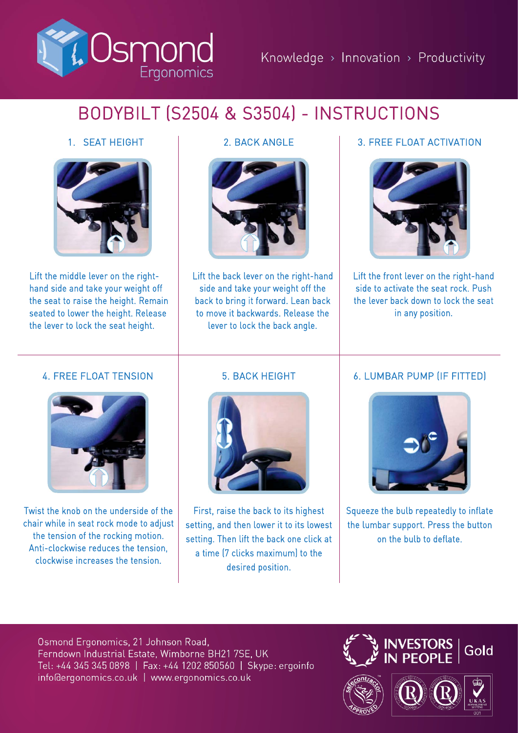

# BODYBILT (S2504 & S3504) - INSTRUCTIONS

# 1. SEAT HEIGHT



Lift the middle lever on the righthand side and take your weight off the seat to raise the height. Remain seated to lower the height. Release the lever to lock the seat height.



Lift the back lever on the right-hand side and take your weight off the back to bring it forward. Lean back to move it backwards. Release the lever to lock the back angle.

# 2. BACK ANGLE **1** 3. FREE FLOAT ACTIVATION



Lift the front lever on the right-hand side to activate the seat rock. Push the lever back down to lock the seat in any position.

#### 4. FREE FLOAT TENSION



Twist the knob on the underside of the chair while in seat rock mode to adjust the tension of the rocking motion. Anti-clockwise reduces the tension, clockwise increases the tension.

# 5. BACK HEIGHT



First, raise the back to its highest setting, and then lower it to its lowest setting. Then lift the back one click at a time (7 clicks maximum) to the desired position.

#### 6. LUMBAR PUMP (IF FITTED)



Squeeze the bulb repeatedly to inflate the lumbar support. Press the button on the bulb to deflate.

Osmond Ergonomics, 21 Johnson Road, Ferndown Industrial Estate, Wimborne BH21 7SE, UK Tel: +44 345 345 0898 | Fax: +44 1202 850560 | Skype: ergoinfo info@ergonomics.co.uk | www.ergonomics.co.uk